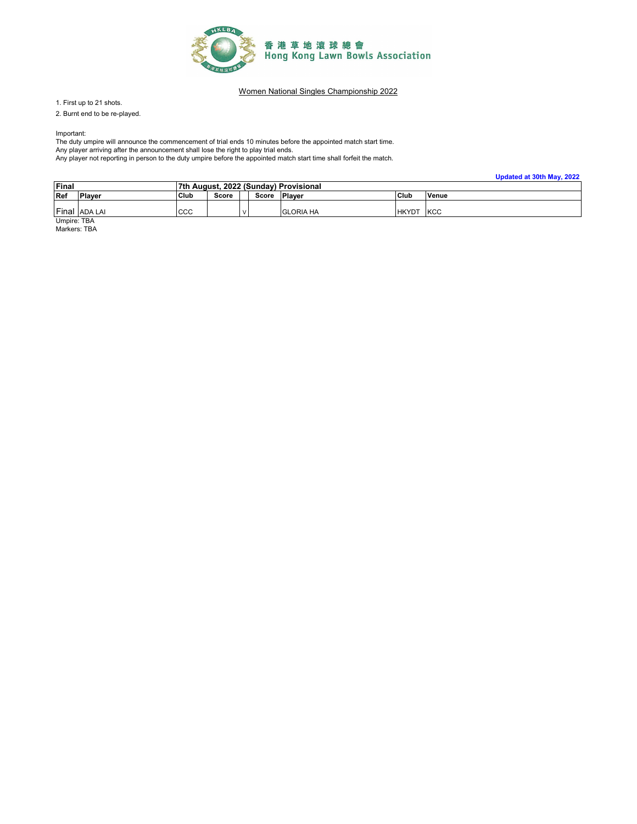

1. First up to 21 shots.

2. Burnt end to be re-played.

Important:

The duty umpire will announce the commencement of trial ends 10 minutes before the appointed match start time. Any player arriving after the announcement shall lose the right to play trial ends. Any player not reporting in person to the duty umpire before the appointed match start time shall forfeit the match.

**Updated at 30th May, 2022**

| Final |               | 7th August, 2022 (Sunday) Provisional |                                 |  |  |                  |              |            |
|-------|---------------|---------------------------------------|---------------------------------|--|--|------------------|--------------|------------|
| Ref   | <b>Player</b> | Club                                  | Plaver<br>Score<br><b>Score</b> |  |  |                  | Club         | Venue      |
| Final | ADA LAI       | CCC                                   |                                 |  |  | <b>GLORIA HA</b> | <b>HKYDT</b> | <b>KCC</b> |

Umpire: TBA Markers: TBA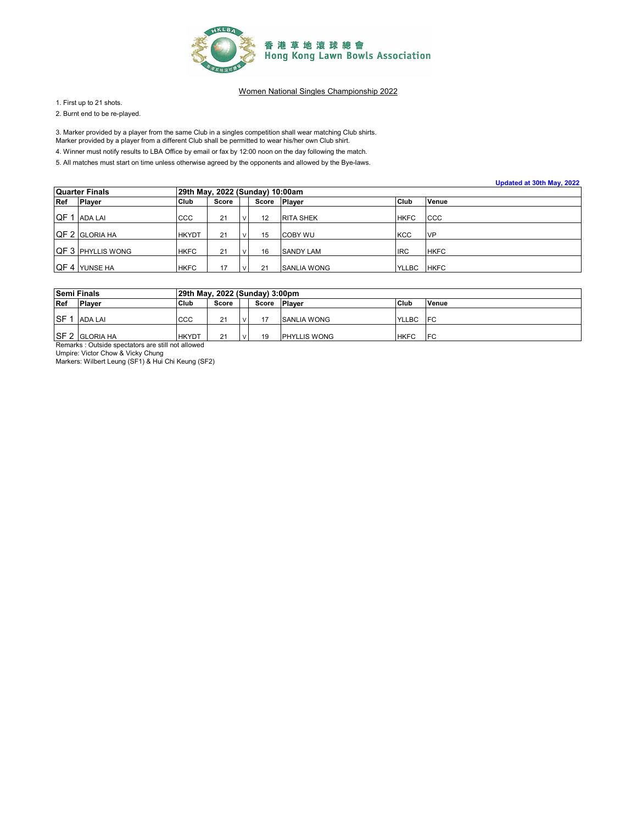

1. First up to 21 shots.

2. Burnt end to be re-played.

3. Marker provided by a player from the same Club in a singles competition shall wear matching Club shirts.

Marker provided by a player from a different Club shall be permitted to wear his/her own Club shirt.

4. Winner must notify results to LBA Office by email or fax by 12:00 noon on the day following the match.

|      |                          |              |                                 |  |    |                    |              | Updated at 30th May, 2022 |  |  |  |
|------|--------------------------|--------------|---------------------------------|--|----|--------------------|--------------|---------------------------|--|--|--|
|      | Quarter Finals           |              | 29th May, 2022 (Sunday) 10:00am |  |    |                    |              |                           |  |  |  |
| Ref  | <b>Player</b>            | <b>Club</b>  | Score                           |  |    | Score Player       | Club         | Venue                     |  |  |  |
| QF 1 | ADA LAI                  | CCC          | 21                              |  | 12 | <b>RITA SHEK</b>   | <b>HKFC</b>  | CCC                       |  |  |  |
|      | QF 2 GLORIA HA           | <b>HKYDT</b> | 21                              |  | 15 | <b>COBY WU</b>     | <b>KCC</b>   | <b>NP</b>                 |  |  |  |
|      | <b>QF 3 PHYLLIS WONG</b> | <b>HKFC</b>  | 21                              |  | 16 | <b>SANDY LAM</b>   | <b>IRC</b>   | <b>HKFC</b>               |  |  |  |
|      | QF 4 YUNSE HA            | <b>HKFC</b>  | 17                              |  | 21 | <b>SANLIA WONG</b> | <b>YLLBC</b> | <b>HKFC</b>               |  |  |  |

| <b>Semi Finals</b>                                |                                                    |              | 29th May, 2022 (Sunday) 3:00pm |  |       |                      |             |            |  |  |  |
|---------------------------------------------------|----------------------------------------------------|--------------|--------------------------------|--|-------|----------------------|-------------|------------|--|--|--|
| Ref                                               | <b>Player</b>                                      | Club         | Score                          |  | Score | <b>Plaver</b>        | Club        | Venue      |  |  |  |
|                                                   |                                                    |              |                                |  |       |                      |             |            |  |  |  |
| <b>ISF</b>                                        | <b>ADA LAI</b>                                     | CCC          | 21                             |  | 17    | <b>SANLIA WONG</b>   | YLLBC       | <b>IFC</b> |  |  |  |
|                                                   |                                                    |              |                                |  |       |                      |             |            |  |  |  |
|                                                   | <b>SF 2 GLORIA HA</b>                              | <b>HKYDT</b> | 21                             |  | 19    | <b>IPHYLLIS WONG</b> | <b>HKFC</b> | <b>IFC</b> |  |  |  |
| Remarks: Outside spectators are still not allowed |                                                    |              |                                |  |       |                      |             |            |  |  |  |
| Umpire: Victor Chow & Vicky Chung                 |                                                    |              |                                |  |       |                      |             |            |  |  |  |
|                                                   | Markers: Wilbert Leung (SF1) & Hui Chi Keung (SF2) |              |                                |  |       |                      |             |            |  |  |  |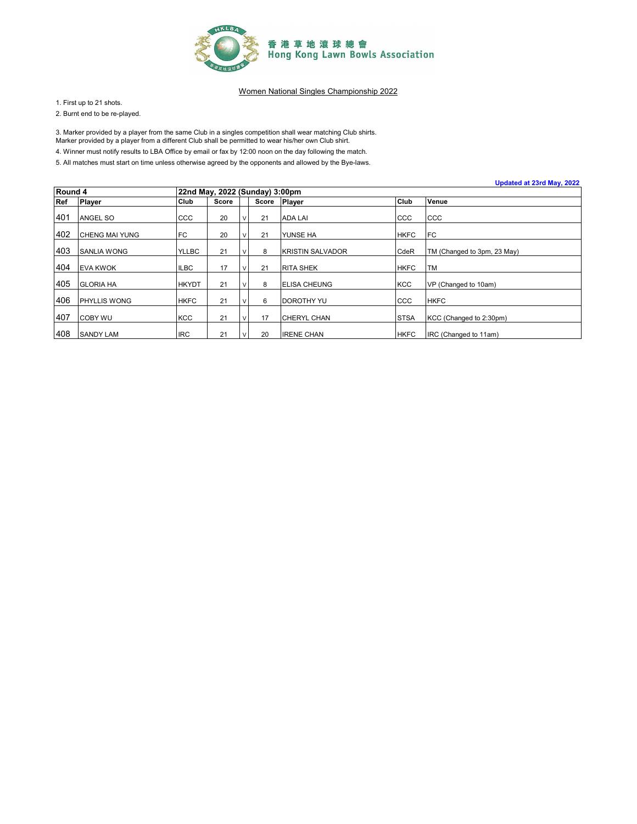

1. First up to 21 shots.

2. Burnt end to be re-played.

3. Marker provided by a player from the same Club in a singles competition shall wear matching Club shirts.

Marker provided by a player from a different Club shall be permitted to wear his/her own Club shirt.

4. Winner must notify results to LBA Office by email or fax by 12:00 noon on the day following the match.

|         |                       |              |                                |        |       |                          |             | Updated at 23rd May, 2022   |  |  |  |
|---------|-----------------------|--------------|--------------------------------|--------|-------|--------------------------|-------------|-----------------------------|--|--|--|
| Round 4 |                       |              | 22nd May, 2022 (Sunday) 3:00pm |        |       |                          |             |                             |  |  |  |
| Ref     | <b>Player</b>         | Club         | Score                          |        | Score | <b>Player</b>            | Club        | Venue                       |  |  |  |
| 401     | <b>ANGEL SO</b>       | CCC          | 20                             |        | 21    | <b>ADA LAI</b>           | CCC         | CCC                         |  |  |  |
| 402     | <b>CHENG MAI YUNG</b> | FC           | 20                             |        | 21    | YUNSE HA                 | <b>HKFC</b> | FC                          |  |  |  |
| 403     | <b>SANLIA WONG</b>    | <b>YLLBC</b> | 21                             |        | 8     | <b>IKRISTIN SALVADOR</b> | CdeR        | TM (Changed to 3pm, 23 May) |  |  |  |
| 404     | <b>EVA KWOK</b>       | <b>ILBC</b>  | 17                             | $\vee$ | 21    | <b>RITA SHEK</b>         | <b>HKFC</b> | <b>TM</b>                   |  |  |  |
| 405     | <b>GLORIA HA</b>      | <b>HKYDT</b> | 21                             |        | 8     | <b>ELISA CHEUNG</b>      | <b>KCC</b>  | VP (Changed to 10am)        |  |  |  |
| 406     | <b>PHYLLIS WONG</b>   | <b>HKFC</b>  | 21                             |        | 6     | <b>DOROTHY YU</b>        | CCC         | <b>HKFC</b>                 |  |  |  |
| 407     | <b>COBY WU</b>        | <b>KCC</b>   | 21                             |        | 17    | ICHERYL CHAN             | <b>STSA</b> | KCC (Changed to 2:30pm)     |  |  |  |
| 408     | <b>SANDY LAM</b>      | <b>IRC</b>   | 21                             |        | 20    | <b>IRENE CHAN</b>        | <b>HKFC</b> | IRC (Changed to 11am)       |  |  |  |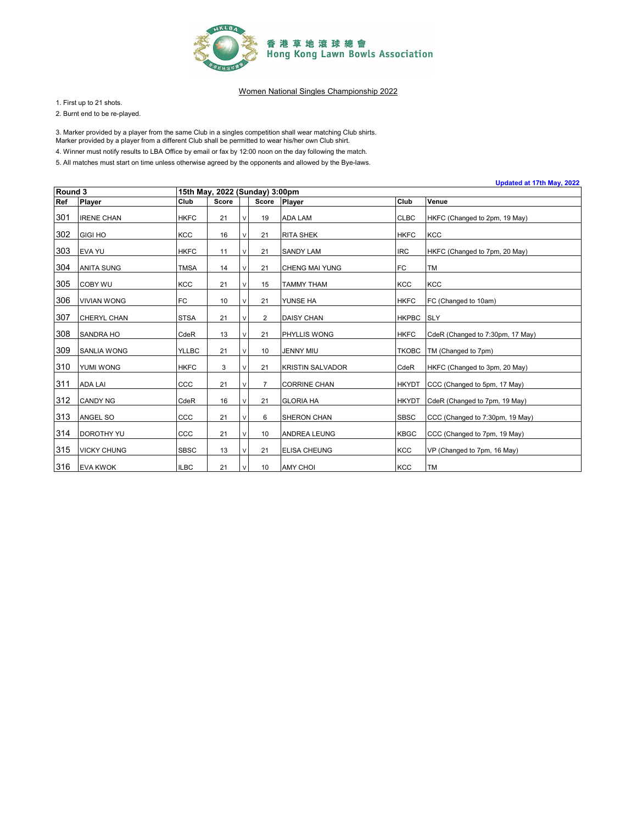

1. First up to 21 shots.

2. Burnt end to be re-played.

3. Marker provided by a player from the same Club in a singles competition shall wear matching Club shirts.

Marker provided by a player from a different Club shall be permitted to wear his/her own Club shirt.

4. Winner must notify results to LBA Office by email or fax by 12:00 noon on the day following the match.

|         | Updated at 17th May, 2022 |              |                                |        |                |                         |              |                                  |  |  |
|---------|---------------------------|--------------|--------------------------------|--------|----------------|-------------------------|--------------|----------------------------------|--|--|
| Round 3 |                           |              | 15th May, 2022 (Sunday) 3:00pm |        |                |                         |              |                                  |  |  |
| Ref     | Player                    | Club         | <b>Score</b>                   |        | Score          | <b>Player</b>           | Club         | Venue                            |  |  |
| 301     | <b>IRENE CHAN</b>         | <b>HKFC</b>  | 21                             | V      | 19             | <b>ADA LAM</b>          | <b>CLBC</b>  | HKFC (Changed to 2pm, 19 May)    |  |  |
| 302     | <b>GIGI HO</b>            | <b>KCC</b>   | 16                             | V      | 21             | <b>RITA SHEK</b>        | <b>HKFC</b>  | <b>KCC</b>                       |  |  |
| 303     | <b>EVA YU</b>             | <b>HKFC</b>  | 11                             | V      | 21             | <b>SANDY LAM</b>        | <b>IRC</b>   | HKFC (Changed to 7pm, 20 May)    |  |  |
| 304     | <b>ANITA SUNG</b>         | <b>TMSA</b>  | 14                             | v      | 21             | <b>CHENG MAI YUNG</b>   | <b>FC</b>    | <b>TM</b>                        |  |  |
| 305     | <b>COBY WU</b>            | <b>KCC</b>   | 21                             | v      | 15             | TAMMY THAM              | <b>KCC</b>   | <b>KCC</b>                       |  |  |
| 306     | <b>VIVIAN WONG</b>        | FC           | 10                             | $\vee$ | 21             | YUNSE HA                | <b>HKFC</b>  | FC (Changed to 10am)             |  |  |
| 307     | <b>CHERYL CHAN</b>        | <b>STSA</b>  | 21                             | V      | $\overline{2}$ | <b>DAISY CHAN</b>       | <b>HKPBC</b> | <b>SLY</b>                       |  |  |
| 308     | <b>SANDRA HO</b>          | CdeR         | 13                             | V      | 21             | PHYLLIS WONG            | <b>HKFC</b>  | CdeR (Changed to 7:30pm, 17 May) |  |  |
| 309     | <b>SANLIA WONG</b>        | <b>YLLBC</b> | 21                             | v      | 10             | JENNY MIU               | <b>TKOBC</b> | TM (Changed to 7pm)              |  |  |
| 310     | YUMI WONG                 | <b>HKFC</b>  | 3                              | v      | 21             | <b>KRISTIN SALVADOR</b> | CdeR         | HKFC (Changed to 3pm, 20 May)    |  |  |
| 311     | <b>ADA LAI</b>            | CCC          | 21                             | V      | $\overline{7}$ | <b>CORRINE CHAN</b>     | <b>HKYDT</b> | CCC (Changed to 5pm, 17 May)     |  |  |
| 312     | <b>CANDY NG</b>           | CdeR         | 16                             | V      | 21             | <b>GLORIA HA</b>        | <b>HKYDT</b> | CdeR (Changed to 7pm, 19 May)    |  |  |
| 313     | ANGEL SO                  | CCC          | 21                             | V      | 6              | SHERON CHAN             | <b>SBSC</b>  | CCC (Changed to 7:30pm, 19 May)  |  |  |
| 314     | <b>DOROTHY YU</b>         | CCC          | 21                             | V      | 10             | <b>ANDREA LEUNG</b>     | <b>KBGC</b>  | CCC (Changed to 7pm, 19 May)     |  |  |
| 315     | <b>VICKY CHUNG</b>        | <b>SBSC</b>  | 13                             |        | 21             | <b>ELISA CHEUNG</b>     | <b>KCC</b>   | VP (Changed to 7pm, 16 May)      |  |  |
| 316     | <b>EVA KWOK</b>           | <b>ILBC</b>  | 21                             | $\vee$ | 10             | <b>AMY CHOI</b>         | <b>KCC</b>   | <b>TM</b>                        |  |  |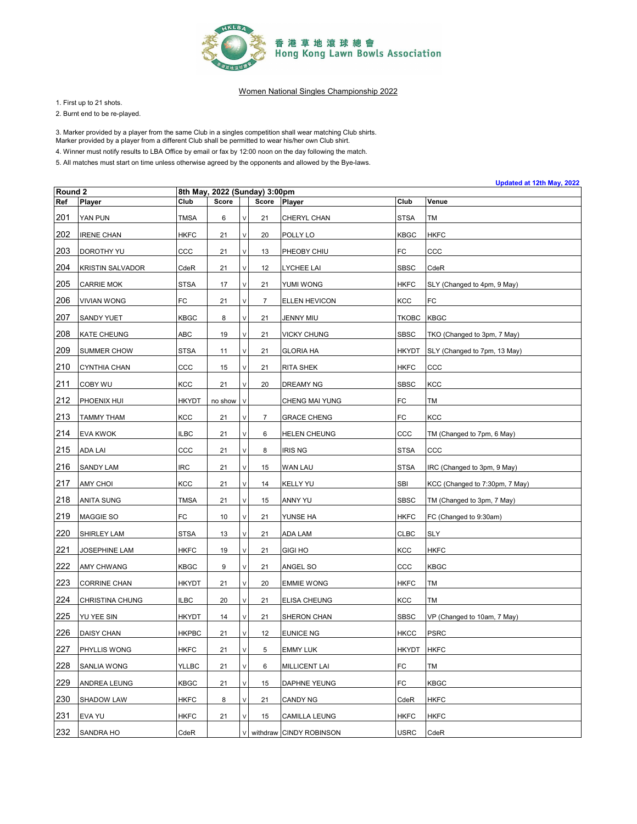

1. First up to 21 shots.

2. Burnt end to be re-played.

3. Marker provided by a player from the same Club in a singles competition shall wear matching Club shirts.

Marker provided by a player from a different Club shall be permitted to wear his/her own Club shirt.

4. Winner must notify results to LBA Office by email or fax by 12:00 noon on the day following the match.

|                    | Updated at 12th May, 2022 |              |                               |        |                |                         |              |                                |  |
|--------------------|---------------------------|--------------|-------------------------------|--------|----------------|-------------------------|--------------|--------------------------------|--|
| Round <sub>2</sub> |                           |              | 8th May, 2022 (Sunday) 3:00pm |        |                |                         |              |                                |  |
| Ref                | Player                    | Club         | Score                         |        | Score          | Player                  | Club         | Venue                          |  |
| 201                | YAN PUN                   | <b>TMSA</b>  | 6                             | $\vee$ | 21             | CHERYL CHAN             | <b>STSA</b>  | TM                             |  |
| 202                | <b>IRENE CHAN</b>         | <b>HKFC</b>  | 21                            | V      | 20             | POLLY LO                | KBGC         | <b>HKFC</b>                    |  |
| 203                | DOROTHY YU                | ccc          | 21                            | V      | 13             | PHEOBY CHIU             | FC           | ccc                            |  |
| 204                | <b>KRISTIN SALVADOR</b>   | CdeR         | 21                            | $\vee$ | 12             | <b>LYCHEE LAI</b>       | <b>SBSC</b>  | CdeR                           |  |
| 205                | <b>CARRIE MOK</b>         | <b>STSA</b>  | 17                            | V      | 21             | YUMI WONG               | <b>HKFC</b>  | SLY (Changed to 4pm, 9 May)    |  |
| 206                | <b>VIVIAN WONG</b>        | FC           | 21                            | V      | $\overline{7}$ | <b>ELLEN HEVICON</b>    | KCC          | FC                             |  |
| 207                | SANDY YUET                | KBGC         | 8                             | $\vee$ | 21             | <b>JENNY MIU</b>        | <b>TKOBC</b> | <b>KBGC</b>                    |  |
| 208                | KATE CHEUNG               | ABC          | 19                            | $\vee$ | 21             | <b>VICKY CHUNG</b>      | <b>SBSC</b>  | TKO (Changed to 3pm, 7 May)    |  |
| 209                | SUMMER CHOW               | <b>STSA</b>  | 11                            | V      | 21             | <b>GLORIA HA</b>        | <b>HKYDT</b> | SLY (Changed to 7pm, 13 May)   |  |
| 210                | CYNTHIA CHAN              | ccc          | 15                            | $\vee$ | 21             | RITA SHEK               | <b>HKFC</b>  | ccc                            |  |
| 211                | COBY WU                   | KCC          | 21                            | $\vee$ | 20             | DREAMY NG               | <b>SBSC</b>  | KCC                            |  |
| 212                | PHOENIX HUI               | <b>HKYDT</b> | no show                       | $\vee$ |                | CHENG MAI YUNG          | FC           | TM                             |  |
| 213                | <b>TAMMY THAM</b>         | KCC          | 21                            | $\vee$ | $\overline{7}$ | <b>GRACE CHENG</b>      | FC           | <b>KCC</b>                     |  |
| 214                | <b>EVA KWOK</b>           | <b>ILBC</b>  | 21                            | V      | 6              | <b>HELEN CHEUNG</b>     | ccc          | TM (Changed to 7pm, 6 May)     |  |
| 215                | <b>ADA LAI</b>            | ccc          | 21                            | $\vee$ | 8              | <b>IRIS NG</b>          | <b>STSA</b>  | ccc                            |  |
| 216                | SANDY LAM                 | IRC          | 21                            | $\vee$ | 15             | <b>WAN LAU</b>          | <b>STSA</b>  | IRC (Changed to 3pm, 9 May)    |  |
| 217                | AMY CHOI                  | KCC          | 21                            | V      | 14             | <b>KELLY YU</b>         | SBI          | KCC (Changed to 7:30pm, 7 May) |  |
| 218                | ANITA SUNG                | <b>TMSA</b>  | 21                            | $\vee$ | 15             | ANNY YU                 | <b>SBSC</b>  | TM (Changed to 3pm, 7 May)     |  |
| 219                | MAGGIE SO                 | FC           | 10                            | $\vee$ | 21             | YUNSE HA                | <b>HKFC</b>  | FC (Changed to 9:30am)         |  |
| 220                | <b>SHIRLEY LAM</b>        | <b>STSA</b>  | 13                            | V      | 21             | ADA LAM                 | <b>CLBC</b>  | SLY                            |  |
| 221                | JOSEPHINE LAM             | <b>HKFC</b>  | 19                            | V      | 21             | <b>GIGI HO</b>          | KCC          | <b>HKFC</b>                    |  |
| 222                | AMY CHWANG                | KBGC         | 9                             | $\vee$ | 21             | ANGEL SO                | ccc          | KBGC                           |  |
| 223                | <b>CORRINE CHAN</b>       | HKYDT        | 21                            | V      | 20             | <b>EMMIE WONG</b>       | <b>HKFC</b>  | TM                             |  |
| 224                | CHRISTINA CHUNG           | <b>ILBC</b>  | 20                            | V      | 21             | ELISA CHEUNG            | KCC          | TM                             |  |
| 225                | YU YEE SIN                | <b>HKYDT</b> | 14                            | $\vee$ | 21             | SHERON CHAN             | <b>SBSC</b>  | VP (Changed to 10am, 7 May)    |  |
| 226                | <b>DAISY CHAN</b>         | <b>HKPBC</b> | 21                            | $\vee$ | 12             | <b>EUNICE NG</b>        | HKCC         | <b>PSRC</b>                    |  |
| 227                | PHYLLIS WONG              | <b>HKFC</b>  | 21                            | $\lor$ | 5              | <b>EMMY LUK</b>         | <b>HKYDT</b> | <b>HKFC</b>                    |  |
| 228                | SANLIA WONG               | YLLBC        | 21                            | $\vee$ | 6              | <b>MILLICENT LAI</b>    | FC           | TM                             |  |
| 229                | ANDREA LEUNG              | KBGC         | 21                            | $\vee$ | 15             | <b>DAPHNE YEUNG</b>     | FC           | KBGC                           |  |
| 230                | SHADOW LAW                | <b>HKFC</b>  | 8                             | $\lor$ | 21             | <b>CANDY NG</b>         | CdeR         | <b>HKFC</b>                    |  |
| 231                | EVA YU                    | HKFC         | 21                            | V      | 15             | CAMILLA LEUNG           | HKFC         | HKFC                           |  |
| 232                | SANDRA HO                 | CdeR         |                               | $\vee$ |                | withdraw CINDY ROBINSON | USRC         | CdeR                           |  |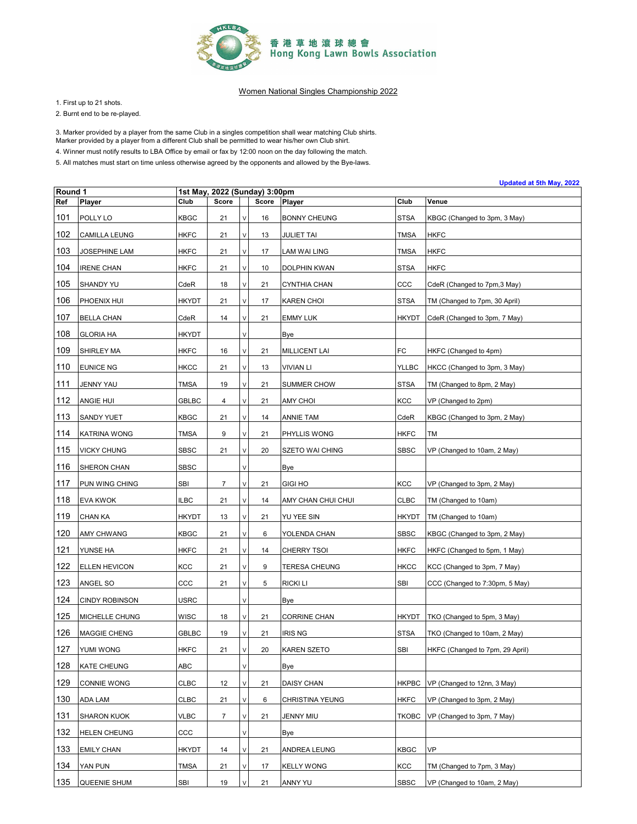

1. First up to 21 shots.

2. Burnt end to be re-played.

3. Marker provided by a player from the same Club in a singles competition shall wear matching Club shirts.

Marker provided by a player from a different Club shall be permitted to wear his/her own Club shirt.

4. Winner must notify results to LBA Office by email or fax by 12:00 noon on the day following the match.

|         |                       |                  |                |        |                      |                        |              | Updated at 5th May, 2022        |
|---------|-----------------------|------------------|----------------|--------|----------------------|------------------------|--------------|---------------------------------|
| Round 1 |                       | 1st May,<br>Club | Score          |        | 2022 (Sunday) 3:00pm |                        |              |                                 |
| Ref     | Player                |                  |                |        | Score                | Player                 | Club         | Venue                           |
| 101     | POLLY LO              | KBGC             | 21             | $\vee$ | 16                   | <b>BONNY CHEUNG</b>    | <b>STSA</b>  | KBGC (Changed to 3pm, 3 May)    |
| 102     | <b>CAMILLA LEUNG</b>  | <b>HKFC</b>      | 21             | V      | 13                   | <b>JULIET TAI</b>      | <b>TMSA</b>  | <b>HKFC</b>                     |
| 103     | JOSEPHINE LAM         | <b>HKFC</b>      | 21             | V      | 17                   | LAM WAI LING           | <b>TMSA</b>  | <b>HKFC</b>                     |
| 104     | <b>IRENE CHAN</b>     | <b>HKFC</b>      | 21             | $\vee$ | 10                   | DOLPHIN KWAN           | <b>STSA</b>  | <b>HKFC</b>                     |
| 105     | SHANDY YU             | CdeR             | 18             | V      | 21                   | <b>CYNTHIA CHAN</b>    | ccc          | CdeR (Changed to 7pm,3 May)     |
| 106     | PHOENIX HUI           | <b>HKYDT</b>     | 21             | V      | 17                   | <b>KAREN CHOI</b>      | <b>STSA</b>  | TM (Changed to 7pm, 30 April)   |
| 107     | <b>BELLA CHAN</b>     | CdeR             | 14             | $\vee$ | 21                   | <b>EMMY LUK</b>        | <b>HKYDT</b> | CdeR (Changed to 3pm, 7 May)    |
| 108     | <b>GLORIA HA</b>      | <b>HKYDT</b>     |                | $\vee$ |                      | Bye                    |              |                                 |
| 109     | SHIRLEY MA            | <b>HKFC</b>      | 16             | V      | 21                   | <b>MILLICENT LAI</b>   | FC           | HKFC (Changed to 4pm)           |
| 110     | <b>EUNICE NG</b>      | <b>HKCC</b>      | 21             | $\vee$ | 13                   | <b>VIVIAN LI</b>       | <b>YLLBC</b> | HKCC (Changed to 3pm, 3 May)    |
| 111     | JENNY YAU             | <b>TMSA</b>      | 19             | V      | 21                   | SUMMER CHOW            | <b>STSA</b>  | TM (Changed to 8pm, 2 May)      |
| 112     | ANGIE HUI             | <b>GBLBC</b>     | 4              | V      | 21                   | AMY CHOI               | KCC          | VP (Changed to 2pm)             |
| 113     | <b>SANDY YUET</b>     | KBGC             | 21             | $\vee$ | 14                   | <b>ANNIE TAM</b>       | CdeR         | KBGC (Changed to 3pm, 2 May)    |
| 114     | KATRINA WONG          | <b>TMSA</b>      | 9              | V      | 21                   | PHYLLIS WONG           | <b>HKFC</b>  | TM                              |
| 115     | <b>VICKY CHUNG</b>    | <b>SBSC</b>      | 21             | V      | 20                   | <b>SZETO WAI CHING</b> | <b>SBSC</b>  | VP (Changed to 10am, 2 May)     |
| 116     | SHERON CHAN           | <b>SBSC</b>      |                | $\vee$ |                      | Bye                    |              |                                 |
| 117     | PUN WING CHING        | SBI              | $\overline{7}$ | V      | 21                   | <b>GIGI HO</b>         | KCC          | VP (Changed to 3pm, 2 May)      |
| 118     | EVA KWOK              | <b>ILBC</b>      | 21             | $\vee$ | 14                   | AMY CHAN CHUI CHUI     | <b>CLBC</b>  | TM (Changed to 10am)            |
| 119     | CHAN KA               | <b>HKYDT</b>     | 13             | $\vee$ | 21                   | YU YEE SIN             | <b>HKYDT</b> | TM (Changed to 10am)            |
| 120     | AMY CHWANG            | KBGC             | 21             | V      | 6                    | YOLENDA CHAN           | <b>SBSC</b>  | KBGC (Changed to 3pm, 2 May)    |
| 121     | YUNSE HA              | <b>HKFC</b>      | 21             | $\vee$ | 14                   | <b>CHERRY TSOI</b>     | <b>HKFC</b>  | HKFC (Changed to 5pm, 1 May)    |
| 122     | ELLEN HEVICON         | KCC              | 21             | $\vee$ | 9                    | TERESA CHEUNG          | <b>HKCC</b>  | KCC (Changed to 3pm, 7 May)     |
| 123     | ANGEL SO              | ccc              | 21             | V      | 5                    | RICKI LI               | SBI          | CCC (Changed to 7:30pm, 5 May)  |
| 124     | <b>CINDY ROBINSON</b> | USRC             |                | $\vee$ |                      | Bye                    |              |                                 |
| 125     | MICHELLE CHUNG        | <b>WISC</b>      | 18             | $\vee$ | 21                   | <b>CORRINE CHAN</b>    | <b>HKYDT</b> | TKO (Changed to 5pm, 3 May)     |
| 126     | MAGGIE CHENG          | GBLBC            | 19             | $\vee$ | 21                   | <b>IRIS NG</b>         | <b>STSA</b>  | TKO (Changed to 10am, 2 May)    |
| 127     | YUMI WONG             | <b>HKFC</b>      | 21             | $\vee$ | 20                   | <b>KAREN SZETO</b>     | SBI          | HKFC (Changed to 7pm, 29 April) |
| 128     | KATE CHEUNG           | ABC              |                | $\vee$ |                      | Bye                    |              |                                 |
| 129     | CONNIE WONG           | <b>CLBC</b>      | 12             | V      | 21                   | DAISY CHAN             | <b>HKPBC</b> | VP (Changed to 12nn, 3 May)     |
| 130     | <b>ADA LAM</b>        | <b>CLBC</b>      | 21             | V      | 6                    | CHRISTINA YEUNG        | <b>HKFC</b>  | VP (Changed to 3pm, 2 May)      |
| 131     | <b>SHARON KUOK</b>    | VLBC             | $\overline{7}$ | V      | 21                   | JENNY MIU              | <b>TKOBC</b> | VP (Changed to 3pm, 7 May)      |
| 132     | <b>HELEN CHEUNG</b>   | ccc              |                | V      |                      | Bye                    |              |                                 |
| 133     | <b>EMILY CHAN</b>     | <b>HKYDT</b>     | 14             | V      | 21                   | ANDREA LEUNG           | <b>KBGC</b>  | VP                              |
| 134     | YAN PUN               | TMSA             | 21             | V      | 17                   | <b>KELLY WONG</b>      | KCC          | TM (Changed to 7pm, 3 May)      |
| 135     | QUEENIE SHUM          | SBI              | 19             |        | 21                   | ANNY YU                | <b>SBSC</b>  | VP (Changed to 10am, 2 May)     |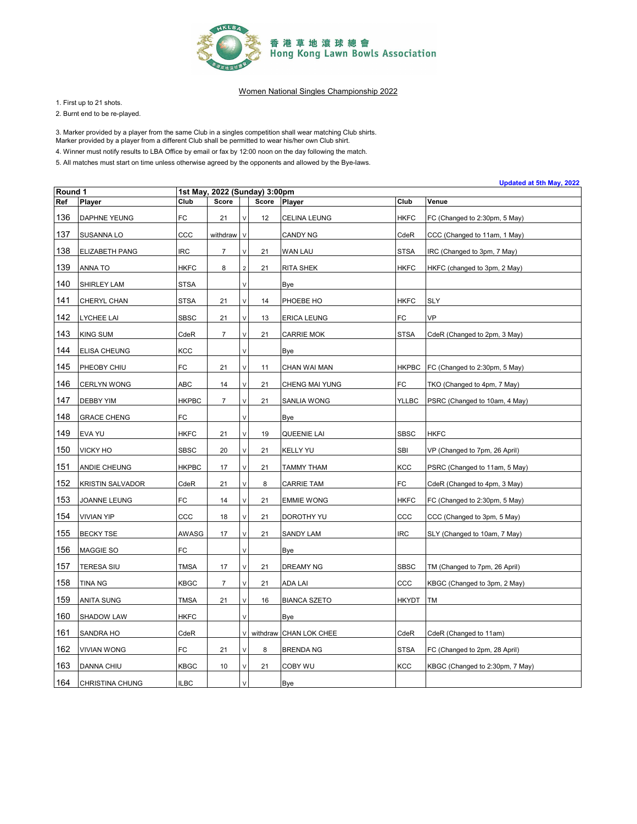

1. First up to 21 shots.

2. Burnt end to be re-played.

3. Marker provided by a player from the same Club in a singles competition shall wear matching Club shirts.

Marker provided by a player from a different Club shall be permitted to wear his/her own Club shirt.

4. Winner must notify results to LBA Office by email or fax by 12:00 noon on the day following the match.

5. All matches must start on time unless otherwise agreed by the opponents and allowed by the Bye-laws.

| Round 1 |                         |              | 1st May, 2022 (Sunday) 3:00pm |                |       |                        |              | Upualeu al Jili May, 2022       |
|---------|-------------------------|--------------|-------------------------------|----------------|-------|------------------------|--------------|---------------------------------|
| Ref     | <b>Player</b>           | Club         | Score                         |                | Score | Player                 | Club         | Venue                           |
| 136     | DAPHNE YEUNG            | FC           | 21                            | V              | 12    | CELINA LEUNG           | HKFC         | FC (Changed to 2:30pm, 5 May)   |
| 137     | SUSANNA LO              | ccc          | withdraw                      | $\vee$         |       | CANDY NG               | CdeR         | CCC (Changed to 11am, 1 May)    |
| 138     | ELIZABETH PANG          | IRC          | 7                             | V              | 21    | WAN LAU                | <b>STSA</b>  | IRC (Changed to 3pm, 7 May)     |
| 139     | ANNA TO                 | <b>HKFC</b>  | 8                             | $\overline{2}$ | 21    | <b>RITA SHEK</b>       | <b>HKFC</b>  | HKFC (changed to 3pm, 2 May)    |
| 140     | SHIRLEY LAM             | STSA         |                               | V              |       | Bye                    |              |                                 |
| 141     | CHERYL CHAN             | STSA         | 21                            | V              | 14    | PHOEBE HO              | HKFC         | SLY                             |
| 142     | LYCHEE LAI              | SBSC         | 21                            | V              | 13    | <b>ERICA LEUNG</b>     | FC           | VP                              |
| 143     | KING SUM                | CdeR         | $\overline{7}$                | V              | 21    | <b>CARRIE MOK</b>      | <b>STSA</b>  | CdeR (Changed to 2pm, 3 May)    |
| 144     | <b>ELISA CHEUNG</b>     | KCC          |                               |                |       | Bye                    |              |                                 |
| 145     | PHEOBY CHIU             | FC           | 21                            | V              | 11    | CHAN WAI MAN           | <b>HKPBC</b> | FC (Changed to 2:30pm, 5 May)   |
| 146     | <b>CERLYN WONG</b>      | ABC          | 14                            | V              | 21    | CHENG MAI YUNG         | FC           | TKO (Changed to 4pm, 7 May)     |
| 147     | <b>DEBBY YIM</b>        | <b>HKPBC</b> | $\overline{7}$                | V              | 21    | SANLIA WONG            | <b>YLLBC</b> | PSRC (Changed to 10am, 4 May)   |
| 148     | <b>GRACE CHENG</b>      | FC           |                               | $\vee$         |       | Bye                    |              |                                 |
| 149     | EVA YU                  | HKFC         | 21                            | V              | 19    | QUEENIE LAI            | <b>SBSC</b>  | <b>HKFC</b>                     |
| 150     | <b>VICKY HO</b>         | SBSC         | 20                            | V              | 21    | KELLY YU               | SBI          | VP (Changed to 7pm, 26 April)   |
| 151     | ANDIE CHEUNG            | <b>HKPBC</b> | 17                            | V              | 21    | TAMMY THAM             | KCC          | PSRC (Changed to 11am, 5 May)   |
| 152     | <b>KRISTIN SALVADOR</b> | CdeR         | 21                            | V              | 8     | <b>CARRIE TAM</b>      | FC           | CdeR (Changed to 4pm, 3 May)    |
| 153     | JOANNE LEUNG            | FC           | 14                            | V              | 21    | <b>EMMIE WONG</b>      | <b>HKFC</b>  | FC (Changed to 2:30pm, 5 May)   |
| 154     | <b>VIVIAN YIP</b>       | CCC          | 18                            | V              | 21    | DOROTHY YU             | CCC          | CCC (Changed to 3pm, 5 May)     |
| 155     | <b>BECKY TSE</b>        | AWASG        | 17                            | V              | 21    | SANDY LAM              | <b>IRC</b>   | SLY (Changed to 10am, 7 May)    |
| 156     | MAGGIE SO               | FC           |                               | V              |       | Bye                    |              |                                 |
| 157     | TERESA SIU              | <b>TMSA</b>  | 17                            | V              | 21    | DREAMY NG              | <b>SBSC</b>  | TM (Changed to 7pm, 26 April)   |
| 158     | <b>TINA NG</b>          | KBGC         | 7                             | V              | 21    | <b>ADA LAI</b>         | CCC          | KBGC (Changed to 3pm, 2 May)    |
| 159     | <b>ANITA SUNG</b>       | <b>TMSA</b>  | 21                            |                | 16    | <b>BIANCA SZETO</b>    | <b>HKYDT</b> | <b>TM</b>                       |
| 160     | SHADOW LAW              | HKFC         |                               | V              |       | <u>Bye</u>             |              |                                 |
| 161     | SANDRA HO               | CdeR         |                               | V              |       | withdraw CHAN LOK CHEE | CdeR         | CdeR (Changed to 11am)          |
| 162     | <b>VIVIAN WONG</b>      | FC           | 21                            | V              | 8     | <b>BRENDA NG</b>       | <b>STSA</b>  | FC (Changed to 2pm, 28 April)   |
| 163     | DANNA CHIU              | <b>KBGC</b>  | 10                            | V              | 21    | COBY WU                | KCC          | KBGC (Changed to 2:30pm, 7 May) |
| 164     | CHRISTINA CHUNG         | <b>ILBC</b>  |                               | V              |       | Bye                    |              |                                 |

**Updated at 5th May, 2022**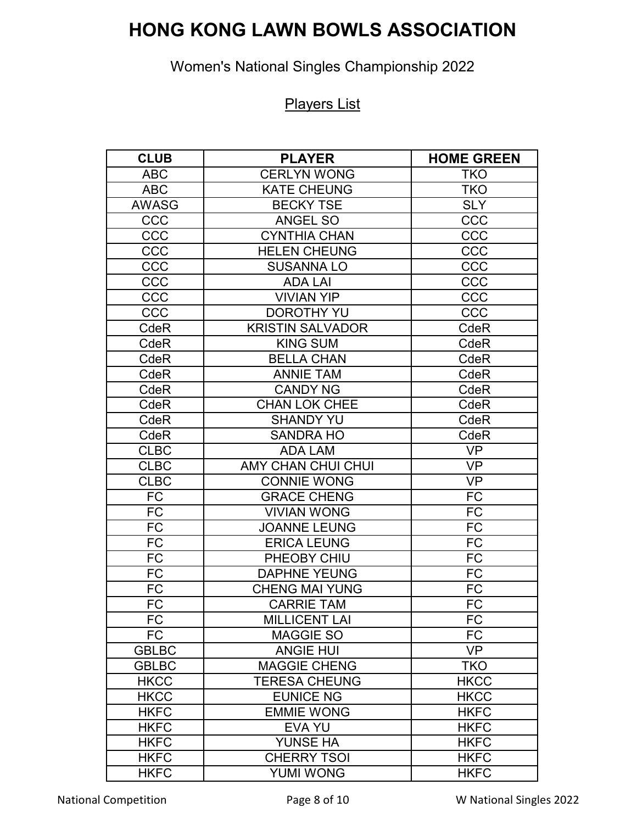# **HONG KONG LAWN BOWLS ASSOCIATION**

## Women's National Singles Championship 2022

#### Players List

| <b>CLUB</b>  | <b>PLAYER</b>             | <b>HOME GREEN</b> |
|--------------|---------------------------|-------------------|
| <b>ABC</b>   | <b>CERLYN WONG</b>        | <b>TKO</b>        |
| <b>ABC</b>   | <b>KATE CHEUNG</b>        | <b>TKO</b>        |
| <b>AWASG</b> | <b>BECKY TSE</b>          | <b>SLY</b>        |
| CCC          | ANGEL SO                  | CCC               |
| CCC          | <b>CYNTHIA CHAN</b>       | CCC               |
| CCC          | <b>HELEN CHEUNG</b>       | CCC               |
| CCC          | <b>SUSANNA LO</b>         | CCC               |
| CCC          | <b>ADA LAI</b>            | CCC               |
| CCC          | <b>VIVIAN YIP</b>         | CCC               |
| CCC          | <b>DOROTHY YU</b>         | CCC               |
| CdeR         | <b>KRISTIN SALVADOR</b>   | CdeR              |
| CdeR         | <b>KING SUM</b>           | CdeR              |
| CdeR         | <b>BELLA CHAN</b>         | <b>CdeR</b>       |
| <b>CdeR</b>  | <b>ANNIE TAM</b>          | CdeR              |
| <b>CdeR</b>  | <b>CANDY NG</b>           | CdeR              |
| CdeR         | <b>CHAN LOK CHEE</b>      | CdeR              |
| CdeR         | <b>SHANDY YU</b>          | CdeR              |
| CdeR         | <b>SANDRA HO</b>          | CdeR              |
| <b>CLBC</b>  | <b>ADA LAM</b>            | <b>VP</b>         |
| <b>CLBC</b>  | <b>AMY CHAN CHUI CHUI</b> | <b>VP</b>         |
| <b>CLBC</b>  | <b>CONNIE WONG</b>        | <b>VP</b>         |
| <b>FC</b>    | <b>GRACE CHENG</b>        | <b>FC</b>         |
| <b>FC</b>    | <b>VIVIAN WONG</b>        | <b>FC</b>         |
| <b>FC</b>    | <b>JOANNE LEUNG</b>       | <b>FC</b>         |
| <b>FC</b>    | <b>ERICA LEUNG</b>        | <b>FC</b>         |
| <b>FC</b>    | PHEOBY CHIU               | <b>FC</b>         |
| <b>FC</b>    | <b>DAPHNE YEUNG</b>       | <b>FC</b>         |
| <b>FC</b>    | <b>CHENG MAI YUNG</b>     | <b>FC</b>         |
| <b>FC</b>    | <b>CARRIE TAM</b>         | <b>FC</b>         |
| FC           | <b>MILLICENT LAI</b>      | <b>FC</b>         |
| <b>FC</b>    | <b>MAGGIE SO</b>          | <b>FC</b>         |
| <b>GBLBC</b> | <b>ANGIE HUI</b>          | <b>VP</b>         |
| <b>GBLBC</b> | <b>MAGGIE CHENG</b>       | <b>TKO</b>        |
| <b>HKCC</b>  | <b>TERESA CHEUNG</b>      | <b>HKCC</b>       |
| <b>HKCC</b>  | <b>EUNICE NG</b>          | <b>HKCC</b>       |
| <b>HKFC</b>  | <b>EMMIE WONG</b>         | <b>HKFC</b>       |
| <b>HKFC</b>  | EVA YU                    | <b>HKFC</b>       |
| <b>HKFC</b>  | <b>YUNSE HA</b>           | <b>HKFC</b>       |
| <b>HKFC</b>  | <b>CHERRY TSOI</b>        | <b>HKFC</b>       |
| <b>HKFC</b>  | <b>YUMI WONG</b>          | <b>HKFC</b>       |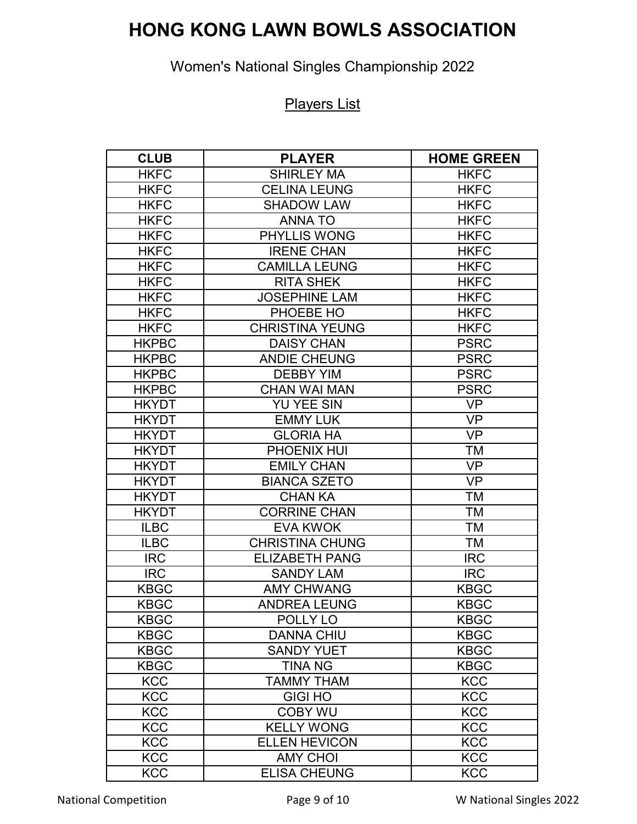# **HONG KONG LAWN BOWLS ASSOCIATION**

## Women's National Singles Championship 2022

#### Players List

| <b>CLUB</b>  | <b>PLAYER</b>          | <b>HOME GREEN</b> |
|--------------|------------------------|-------------------|
| <b>HKFC</b>  | <b>SHIRLEY MA</b>      | <b>HKFC</b>       |
| <b>HKFC</b>  | <b>CELINA LEUNG</b>    | <b>HKFC</b>       |
| <b>HKFC</b>  | <b>SHADOW LAW</b>      | <b>HKFC</b>       |
| <b>HKFC</b>  | <b>ANNA TO</b>         | <b>HKFC</b>       |
| <b>HKFC</b>  | <b>PHYLLIS WONG</b>    | <b>HKFC</b>       |
| <b>HKFC</b>  | <b>IRENE CHAN</b>      | <b>HKFC</b>       |
| <b>HKFC</b>  | <b>CAMILLA LEUNG</b>   | <b>HKFC</b>       |
| <b>HKFC</b>  | <b>RITA SHEK</b>       | <b>HKFC</b>       |
| <b>HKFC</b>  | <b>JOSEPHINE LAM</b>   | <b>HKFC</b>       |
| <b>HKFC</b>  | PHOEBE HO              | <b>HKFC</b>       |
| <b>HKFC</b>  | <b>CHRISTINA YEUNG</b> | <b>HKFC</b>       |
| <b>HKPBC</b> | <b>DAISY CHAN</b>      | <b>PSRC</b>       |
| <b>HKPBC</b> | <b>ANDIE CHEUNG</b>    | <b>PSRC</b>       |
| <b>HKPBC</b> | <b>DEBBY YIM</b>       | <b>PSRC</b>       |
| <b>HKPBC</b> | <b>CHAN WAI MAN</b>    | <b>PSRC</b>       |
| <b>HKYDT</b> | <b>YU YEE SIN</b>      | <b>VP</b>         |
| <b>HKYDT</b> | <b>EMMY LUK</b>        | <b>VP</b>         |
| <b>HKYDT</b> | <b>GLORIA HA</b>       | <b>VP</b>         |
| <b>HKYDT</b> | PHOENIX HUI            | TM                |
| <b>HKYDT</b> | <b>EMILY CHAN</b>      | <b>VP</b>         |
| <b>HKYDT</b> | <b>BIANCA SZETO</b>    | <b>VP</b>         |
| <b>HKYDT</b> | <b>CHAN KA</b>         | <b>TM</b>         |
| <b>HKYDT</b> | <b>CORRINE CHAN</b>    | TM                |
| <b>ILBC</b>  | <b>EVA KWOK</b>        | <b>TM</b>         |
| <b>ILBC</b>  | <b>CHRISTINA CHUNG</b> | ТM                |
| <b>IRC</b>   | <b>ELIZABETH PANG</b>  | <b>IRC</b>        |
| <b>IRC</b>   | <b>SANDY LAM</b>       | <b>IRC</b>        |
| <b>KBGC</b>  | <b>AMY CHWANG</b>      | <b>KBGC</b>       |
| <b>KBGC</b>  | <b>ANDREA LEUNG</b>    | <b>KBGC</b>       |
| <b>KBGC</b>  | POLLY LO               | <b>KBGC</b>       |
| <b>KBGC</b>  | <b>DANNA CHIU</b>      | <b>KBGC</b>       |
| <b>KBGC</b>  | <b>SANDY YUET</b>      | <b>KBGC</b>       |
| <b>KBGC</b>  | <b>TINA NG</b>         | <b>KBGC</b>       |
| <b>KCC</b>   | <b>TAMMY THAM</b>      | <b>KCC</b>        |
| <b>KCC</b>   | <b>GIGI HO</b>         | <b>KCC</b>        |
| <b>KCC</b>   | <b>COBY WU</b>         | <b>KCC</b>        |
| <b>KCC</b>   | <b>KELLY WONG</b>      | KCC               |
| <b>KCC</b>   | <b>ELLEN HEVICON</b>   | <b>KCC</b>        |
| <b>KCC</b>   | <b>AMY CHOI</b>        | <b>KCC</b>        |
| <b>KCC</b>   | <b>ELISA CHEUNG</b>    | <b>KCC</b>        |